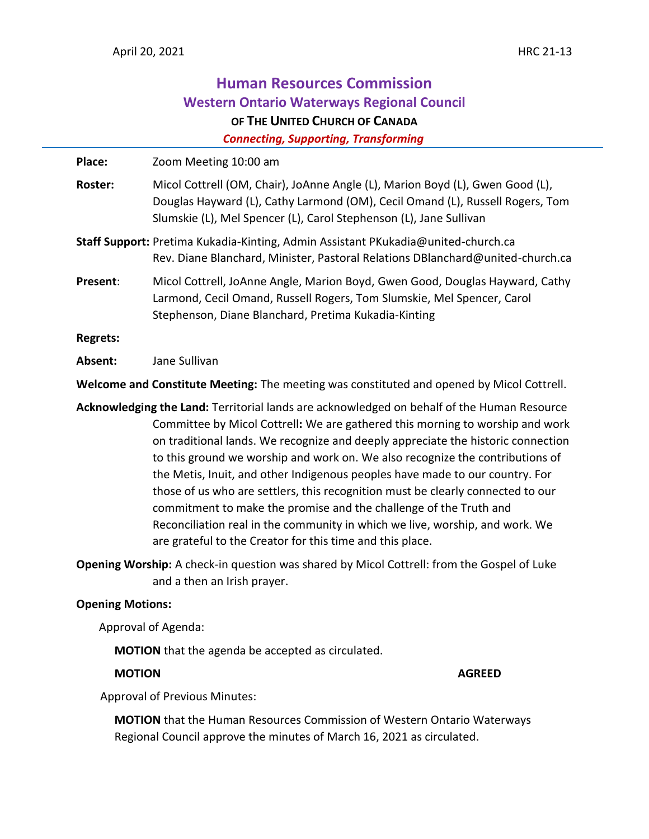# **Human Resources Commission Western Ontario Waterways Regional Council OF THE UNITED CHURCH OF CANADA**

 *Connecting, Supporting, Transforming*

| Place:                                                                                                                    | Zoom Meeting 10:00 am                                                                                                                                                                                                                                                                                                                                                                                                                                                                                                                                                                                                                                                                                                                 |
|---------------------------------------------------------------------------------------------------------------------------|---------------------------------------------------------------------------------------------------------------------------------------------------------------------------------------------------------------------------------------------------------------------------------------------------------------------------------------------------------------------------------------------------------------------------------------------------------------------------------------------------------------------------------------------------------------------------------------------------------------------------------------------------------------------------------------------------------------------------------------|
| <b>Roster:</b>                                                                                                            | Micol Cottrell (OM, Chair), JoAnne Angle (L), Marion Boyd (L), Gwen Good (L),<br>Douglas Hayward (L), Cathy Larmond (OM), Cecil Omand (L), Russell Rogers, Tom<br>Slumskie (L), Mel Spencer (L), Carol Stephenson (L), Jane Sullivan                                                                                                                                                                                                                                                                                                                                                                                                                                                                                                  |
|                                                                                                                           | Staff Support: Pretima Kukadia-Kinting, Admin Assistant PKukadia@united-church.ca<br>Rev. Diane Blanchard, Minister, Pastoral Relations DBlanchard@united-church.ca                                                                                                                                                                                                                                                                                                                                                                                                                                                                                                                                                                   |
| Present:                                                                                                                  | Micol Cottrell, JoAnne Angle, Marion Boyd, Gwen Good, Douglas Hayward, Cathy<br>Larmond, Cecil Omand, Russell Rogers, Tom Slumskie, Mel Spencer, Carol<br>Stephenson, Diane Blanchard, Pretima Kukadia-Kinting                                                                                                                                                                                                                                                                                                                                                                                                                                                                                                                        |
| <b>Regrets:</b>                                                                                                           |                                                                                                                                                                                                                                                                                                                                                                                                                                                                                                                                                                                                                                                                                                                                       |
| Absent:                                                                                                                   | Jane Sullivan                                                                                                                                                                                                                                                                                                                                                                                                                                                                                                                                                                                                                                                                                                                         |
| Welcome and Constitute Meeting: The meeting was constituted and opened by Micol Cottrell.                                 |                                                                                                                                                                                                                                                                                                                                                                                                                                                                                                                                                                                                                                                                                                                                       |
|                                                                                                                           | Acknowledging the Land: Territorial lands are acknowledged on behalf of the Human Resource<br>Committee by Micol Cottrell: We are gathered this morning to worship and work<br>on traditional lands. We recognize and deeply appreciate the historic connection<br>to this ground we worship and work on. We also recognize the contributions of<br>the Metis, Inuit, and other Indigenous peoples have made to our country. For<br>those of us who are settlers, this recognition must be clearly connected to our<br>commitment to make the promise and the challenge of the Truth and<br>Reconciliation real in the community in which we live, worship, and work. We<br>are grateful to the Creator for this time and this place. |
| Opening Worship: A check-in question was shared by Micol Cottrell: from the Gospel of Luke<br>and a then an Irish prayer. |                                                                                                                                                                                                                                                                                                                                                                                                                                                                                                                                                                                                                                                                                                                                       |
| <b>Opening Motions:</b>                                                                                                   |                                                                                                                                                                                                                                                                                                                                                                                                                                                                                                                                                                                                                                                                                                                                       |
| Approval of Agenda:                                                                                                       |                                                                                                                                                                                                                                                                                                                                                                                                                                                                                                                                                                                                                                                                                                                                       |
| MOTION that the agenda be accepted as circulated.                                                                         |                                                                                                                                                                                                                                                                                                                                                                                                                                                                                                                                                                                                                                                                                                                                       |

Approval of Previous Minutes:

**MOTION** that the Human Resources Commission of Western Ontario Waterways Regional Council approve the minutes of March 16, 2021 as circulated.

**MOTION AGREED**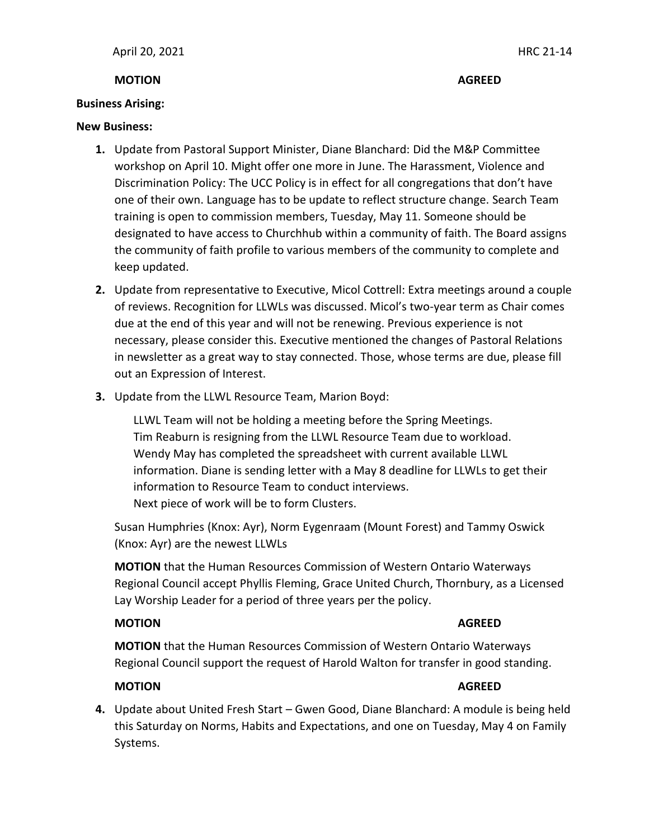### **MOTION AGREED**

### **Business Arising:**

#### **New Business:**

- **1.** Update from Pastoral Support Minister, Diane Blanchard: Did the M&P Committee workshop on April 10. Might offer one more in June. The Harassment, Violence and Discrimination Policy: The UCC Policy is in effect for all congregations that don't have one of their own. Language has to be update to reflect structure change. Search Team training is open to commission members, Tuesday, May 11. Someone should be designated to have access to Churchhub within a community of faith. The Board assigns the community of faith profile to various members of the community to complete and keep updated.
- **2.** Update from representative to Executive, Micol Cottrell: Extra meetings around a couple of reviews. Recognition for LLWLs was discussed. Micol's two-year term as Chair comes due at the end of this year and will not be renewing. Previous experience is not necessary, please consider this. Executive mentioned the changes of Pastoral Relations in newsletter as a great way to stay connected. Those, whose terms are due, please fill out an Expression of Interest.
- **3.** Update from the LLWL Resource Team, Marion Boyd:

LLWL Team will not be holding a meeting before the Spring Meetings. Tim Reaburn is resigning from the LLWL Resource Team due to workload. Wendy May has completed the spreadsheet with current available LLWL information. Diane is sending letter with a May 8 deadline for LLWLs to get their information to Resource Team to conduct interviews. Next piece of work will be to form Clusters.

Susan Humphries (Knox: Ayr), Norm Eygenraam (Mount Forest) and Tammy Oswick (Knox: Ayr) are the newest LLWLs

**MOTION** that the Human Resources Commission of Western Ontario Waterways Regional Council accept Phyllis Fleming, Grace United Church, Thornbury, as a Licensed Lay Worship Leader for a period of three years per the policy.

# **MOTION AGREED**

**MOTION** that the Human Resources Commission of Western Ontario Waterways Regional Council support the request of Harold Walton for transfer in good standing.

# **MOTION AGREED**

**4.** Update about United Fresh Start – Gwen Good, Diane Blanchard: A module is being held this Saturday on Norms, Habits and Expectations, and one on Tuesday, May 4 on Family Systems.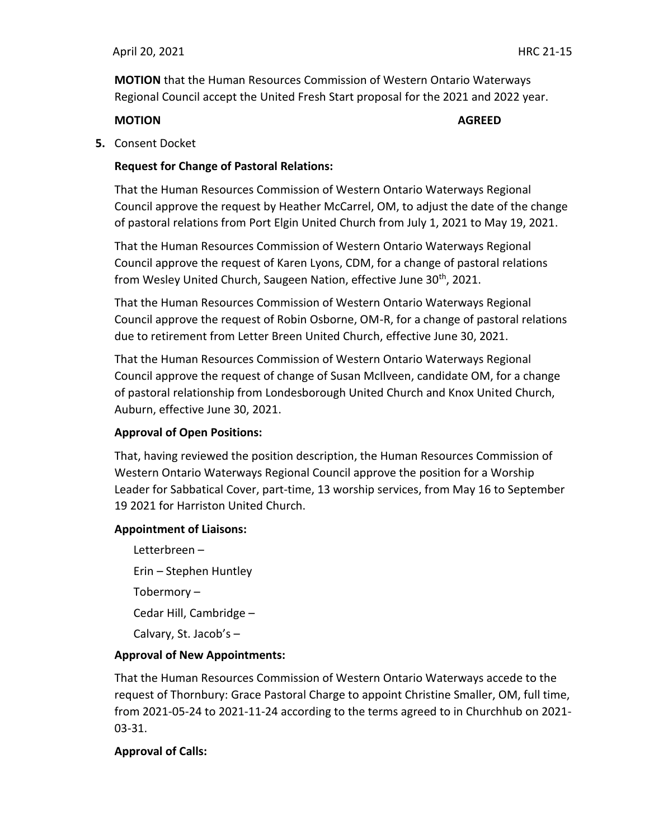**MOTION** that the Human Resources Commission of Western Ontario Waterways Regional Council accept the United Fresh Start proposal for the 2021 and 2022 year.

#### **MOTION AGREED**

**5.** Consent Docket

### **Request for Change of Pastoral Relations:**

That the Human Resources Commission of Western Ontario Waterways Regional Council approve the request by Heather McCarrel, OM, to adjust the date of the change of pastoral relations from Port Elgin United Church from July 1, 2021 to May 19, 2021.

That the Human Resources Commission of Western Ontario Waterways Regional Council approve the request of Karen Lyons, CDM, for a change of pastoral relations from Wesley United Church, Saugeen Nation, effective June 30<sup>th</sup>, 2021.

That the Human Resources Commission of Western Ontario Waterways Regional Council approve the request of Robin Osborne, OM-R, for a change of pastoral relations due to retirement from Letter Breen United Church, effective June 30, 2021.

That the Human Resources Commission of Western Ontario Waterways Regional Council approve the request of change of Susan McIlveen, candidate OM, for a change of pastoral relationship from Londesborough United Church and Knox United Church, Auburn, effective June 30, 2021.

### **Approval of Open Positions:**

That, having reviewed the position description, the Human Resources Commission of Western Ontario Waterways Regional Council approve the position for a Worship Leader for Sabbatical Cover, part-time, 13 worship services, from May 16 to September 19 2021 for Harriston United Church.

#### **Appointment of Liaisons:**

Letterbreen – Erin – Stephen Huntley Tobermory – Cedar Hill, Cambridge – Calvary, St. Jacob's –

### **Approval of New Appointments:**

That the Human Resources Commission of Western Ontario Waterways accede to the request of Thornbury: Grace Pastoral Charge to appoint Christine Smaller, OM, full time, from 2021-05-24 to 2021-11-24 according to the terms agreed to in Churchhub on 2021- 03-31.

### **Approval of Calls:**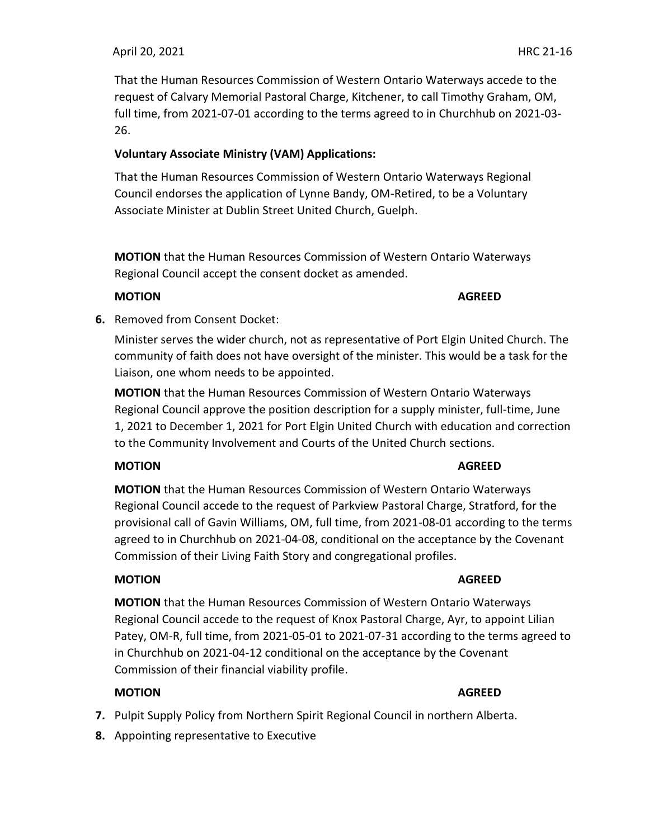### April 20, 2021HRC 21-16

That the Human Resources Commission of Western Ontario Waterways accede to the request of Calvary Memorial Pastoral Charge, Kitchener, to call Timothy Graham, OM, full time, from 2021-07-01 according to the terms agreed to in Churchhub on 2021-03- 26.

# **Voluntary Associate Ministry (VAM) Applications:**

That the Human Resources Commission of Western Ontario Waterways Regional Council endorses the application of Lynne Bandy, OM-Retired, to be a Voluntary Associate Minister at Dublin Street United Church, Guelph.

**MOTION** that the Human Resources Commission of Western Ontario Waterways Regional Council accept the consent docket as amended.

## **MOTION AGREED**

**6.** Removed from Consent Docket:

Minister serves the wider church, not as representative of Port Elgin United Church. The community of faith does not have oversight of the minister. This would be a task for the Liaison, one whom needs to be appointed.

**MOTION** that the Human Resources Commission of Western Ontario Waterways Regional Council approve the position description for a supply minister, full-time, June 1, 2021 to December 1, 2021 for Port Elgin United Church with education and correction to the Community Involvement and Courts of the United Church sections.

# **MOTION AGREED**

**MOTION** that the Human Resources Commission of Western Ontario Waterways Regional Council accede to the request of Parkview Pastoral Charge, Stratford, for the provisional call of Gavin Williams, OM, full time, from 2021-08-01 according to the terms agreed to in Churchhub on 2021-04-08, conditional on the acceptance by the Covenant Commission of their Living Faith Story and congregational profiles.

# **MOTION AGREED**

**MOTION** that the Human Resources Commission of Western Ontario Waterways Regional Council accede to the request of Knox Pastoral Charge, Ayr, to appoint Lilian Patey, OM-R, full time, from 2021-05-01 to 2021-07-31 according to the terms agreed to in Churchhub on 2021-04-12 conditional on the acceptance by the Covenant Commission of their financial viability profile.

# **MOTION AGREED**

- **7.** Pulpit Supply Policy from Northern Spirit Regional Council in northern Alberta.
- **8.** Appointing representative to Executive